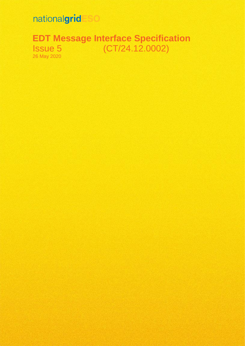# nationalgrid

**EDT Message Interface Specification** Issue 5 (CT/24.12.0002) 26 May 2020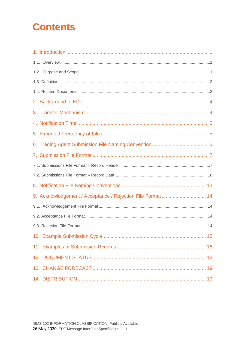# **Contents**

| 9. Acknowledgement / Acceptance / Rejection File Format  14 |
|-------------------------------------------------------------|
|                                                             |
|                                                             |
|                                                             |
|                                                             |
|                                                             |
|                                                             |
|                                                             |
|                                                             |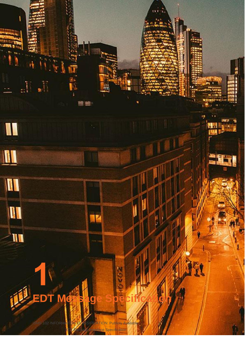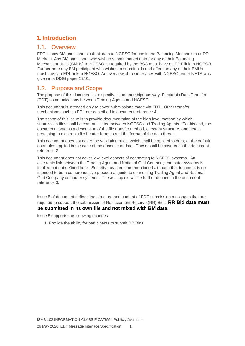# <span id="page-3-0"></span>**1. Introduction**

#### <span id="page-3-1"></span>1.1. Overview

EDT is how BM participants submit data to NGESO for use in the Balancing Mechanism or RR Markets. Any BM participant who wish to submit market data for any of their Balancing Mechanism Units (BMUs) to NGESO as required by the BSC must have an EDT link to NGESO. Furthermore any BM participant who wishes to submit bids and offers on any of their BMUs must have an EDL link to NGESO. An overview of the interfaces with NGESO under NETA was given in a DISG paper 19/01.

#### <span id="page-3-2"></span>1.2. Purpose and Scope

The purpose of this document is to specify, in an unambiguous way, Electronic Data Transfer (EDT) communications between Trading Agents and NGESO.

This document is intended only to cover submissions made via EDT. Other transfer mechanisms such as EDL are described in document reference 4.

The scope of this issue is to provide documentation of the high level method by which submission files shall be communicated between NGESO and Trading Agents. To this end, the document contains a description of the file transfer method, directory structure, and details pertaining to electronic file header formats and the format of the data therein.

This document does not cover the validation rules, which shall be applied to data, or the default data rules applied in the case of the absence of data. These shall be covered in the document reference 2.

This document does not cover low level aspects of connecting to NGESO systems. An electronic link between the Trading Agent and National Grid Company computer systems is implied but not defined here. Security measures are mentioned although the document is not intended to be a comprehensive procedural guide to connecting Trading Agent and National Grid Company computer systems. These subjects will be further defined in the document reference 3.

Issue 5 of document defines the structure and content of EDT submission messages that are required to support the submission of Replacement Reserve (RR) Bids. **RR Bid data must be submitted in its own file and not mixed with BM data.**

Issue 5 supports the following changes:

1. Provide the ability for participants to submit RR Bids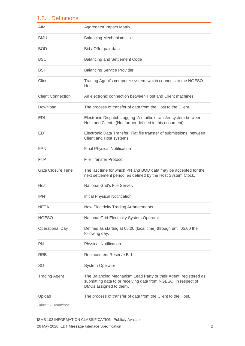## <span id="page-4-0"></span>1.3. Definitions

| Aggregator Impact Matrix                                                                                                                                     |
|--------------------------------------------------------------------------------------------------------------------------------------------------------------|
| <b>Balancing Mechanism Unit</b>                                                                                                                              |
| Bid / Offer pair data                                                                                                                                        |
| <b>Balancing and Settlement Code</b>                                                                                                                         |
| <b>Balancing Service Provider</b>                                                                                                                            |
| Trading Agent's computer system, which connects to the NGESO<br>Host.                                                                                        |
| An electronic connection between Host and Client machines.                                                                                                   |
| The process of transfer of data from the Host to the Client.                                                                                                 |
| Electronic Dispatch Logging. A mailbox transfer system between<br>Host and Client. (Not further defined in this document).                                   |
| Electronic Data Transfer. Flat file transfer of submissions, between<br>Client and Host systems.                                                             |
| <b>Final Physical Notification</b>                                                                                                                           |
| File Transfer Protocol.                                                                                                                                      |
| The last time for which PN and BOD data may be accepted for the<br>next settlement period, as defined by the Host System Clock.                              |
| National Grid's File Server.                                                                                                                                 |
| <b>Initial Physical Notification</b>                                                                                                                         |
| <b>New Electricity Trading Arrangements</b>                                                                                                                  |
| National Grid Electricity System Operator                                                                                                                    |
| Defined as starting at 05:00 (local time) through until 05:00 the<br>following day.                                                                          |
| <b>Physical Notification</b>                                                                                                                                 |
| Replacement Reserve Bid                                                                                                                                      |
| <b>System Operator</b>                                                                                                                                       |
| The Balancing Mechanism Lead Party or their Agent, registered as<br>submitting data to or receiving data from NGESO, in respect of<br>BMUs assigned to them. |
| The process of transfer of data from the Client to the Host.                                                                                                 |
|                                                                                                                                                              |

*Table 1 - Definitions*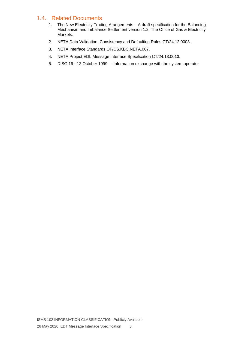## <span id="page-5-0"></span>1.4. Related Documents

- 1. The New Electricity Trading Arangements A draft specification for the Balancing Mechanism and Imbalance Settlement version 1.2, The Office of Gas & Electricity Markets.
- 2. NETA Data Validation, Consistency and Defaulting Rules CT/24.12.0003.
- 3. NETA Interface Standards OF/CS.KBC.NETA.007.
- 4. NETA Project EDL Message Interface Specification CT/24.13.0013.
- 5. DISG 19 12 October 1999 Information exchange with the system operator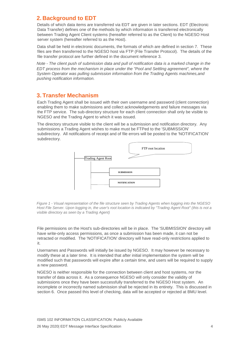#### <span id="page-6-0"></span>**2. Background to EDT**

Details of which data items are transferred via EDT are given in later sections. EDT (Electronic Data Transfer) defines one of the methods by which information is transferred electronically between Trading Agent Client systems (hereafter referred to as the Client) to the NGESO Host server system (hereafter referred to as the Host).

Data shall be held in electronic documents, the formats of which are defined in section 7. These files are then transferred to the NGESO host via FTP (File Transfer Protocol). The details of the file transfer protocol are further defined in the document reference 3.

*Note - The client push of submission data and pull of notification data is a marked change in the EDT process from the mechanism in place under the "Pool and Settling agreement", where the System Operator was pulling submission information from the Trading Agents machines,and pushing notification information.* 

#### <span id="page-6-1"></span>**3. Transfer Mechanism**

Each Trading Agent shall be issued with their own username and password (client connection) enabling them to make submissions and collect acknowledgements and failure messages via the FTP service. The sub-directory structure for each client connection shall only be visible to NGESO and the Trading Agent to which it was issued.

The directory structure visible to the client will be a submission and notification directory. Any submissions a Trading Agent wishes to make must be FTPed to the 'SUBMISSION' subdirectory. All notifications of receipt and of file errors will be posted to the 'NOTIFICATION' subdirectory.



*Figure 1 - Visual representation of the file structure seen by Trading Agents when logging into the NGESO Host File Server. Upon logging in, the user's root location is indicated by "Trading Agent Root" (this is not a visible directory as seen by a Trading Agent)* 

File permissions on the Host's sub-directories will be in place. The 'SUBMISSION' directory will have write-only access permissions, as once a submission has been made, it can not be retracted or modified. The 'NOTIFICATION' directory will have read-only restrictions applied to it.

Usernames and Passwords will initially be issued by NGESO. It may however be necessary to modify these at a later time. It is intended that after initial implementation the system will be modified such that passwords will expire after a certain time, and users will be required to supply a new password.

NGESO is neither responsible for the connection between client and host systems, nor the transfer of data across it. As a consequence NGESO will only consider the validity of submissions once they have been successfully transferred to the NGESO Host system. An incomplete or incorrectly named submission shall be rejected in its entirety. This is discussed in section 6. Once passed this level of checking, data will be accepted or rejected at BMU level.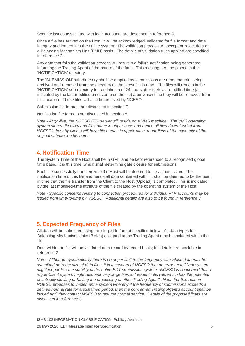Security issues associated with login accounts are described in reference 3.

Once a file has arrived on the Host, it will be acknowledged, validated for file format and data integrity and loaded into the online system. The validation process will accept or reject data on a Balancing Mechanism Unit (BMU) basis. The details of validation rules applied are specified in reference 2.

Any data that fails the validation process will result in a failure notification being generated, informing the Trading Agent of the nature of the fault. This message will be placed in the 'NOTIFICATION' directory.

The 'SUBMISSION' sub-directory shall be emptied as submissions are read; material being archived and removed from the directory as the latest file is read. The files will remain in the 'NOTIFICATION' sub-directory for a minimum of 24 hours after their last-modified time (as indicated by the last-modified time stamp on the file) after which time they will be removed from this location. These files will also be archived by NGESO.

Submission file formats are discussed in section 7.

Notification file formats are discussed in section 8.

*Note - At go-live, the NGESO FTP server will reside on a VMS machine. The VMS operating system stores directory and files name in upper-case and hence all files down-loaded from NGESO's host by clients will have file names in upper-case, regardless of the case mix of the original submission file name.* 

#### <span id="page-7-0"></span>**4. Notification Time**

The System Time of the Host shall be in GMT and be kept referenced to a recognised global time base. It is this time, which shall determine gate closure for submissions.

Each file successfully transferred to the Host will be deemed to be a submission. The notification time of this file and hence all data contained within it shall be deemed to be the point in time that the file transfer from the Client to the Host (Upload) is completed. This is indicated by the last modified-time attribute of the file created by the operating system of the Host.

*Note - Specific concerns relating to connection procedures for individual FTP accounts may be issued from time-to-time by NGESO. Additional details are also to be found in reference 3.* 

#### <span id="page-7-1"></span>**5. Expected Frequency of Files**

All data will be submitted using the single file format specified below. All data types for Balancing Mechanism Units (BMUs) assigned to the Trading Agent may be included within the file.

Data within the file will be validated on a record by record basis; full details are available in reference 2.

*Note - Although hypothetically there is no upper limit to the frequency with which data may be submitted or to the size of data files, it is a concern of NGESO that an error on a Client system might jeopardise the stability of the entire EDT submission system. NGESO is concerned that a rogue Client system might resubmit very large files at frequent intervals which has the potential of critically slowing or halting the processing of other Trading Agent's files. For this reason NGESO proposes to implement a system whereby if the frequency of submissions exceeds a defined normal rate for a sustained period, then the concerned Trading Agent's account shall be locked until they contact NGESO to resume normal service. Details of the proposed limits are discussed in reference 3.*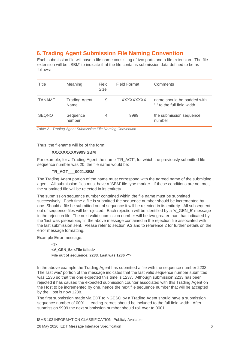## <span id="page-8-0"></span>**6. Trading Agent Submission File Naming Convention**

Each submission file will have a file name consisting of two parts and a file extension. The file extension will be '.SBM' to indicate that the file contains submission data defined to be as follows:

| Title         | Meaning<br>Field<br><b>Size</b> |   | Field Format | Comments                                                  |  |  |  |
|---------------|---------------------------------|---|--------------|-----------------------------------------------------------|--|--|--|
| <b>TANAME</b> | <b>Trading Agent</b><br>Name    | 9 | XXXXXXXXX    | name should be padded with<br>' ' to the full field width |  |  |  |
| <b>SEQNO</b>  | Sequence<br>number              | 4 | 9999         | the submission sequence<br>number                         |  |  |  |

*Table 2 - Trading Agent Submission File Naming Convention* 

Thus, the filename will be of the form:

#### **XXXXXXXXX9999.SBM**

For example, for a Trading Agent the name 'TR\_AGT', for which the previously submitted file sequence number was 20, the file name would be:

#### **TR\_AGT\_\_\_0021.SBM**

The Trading Agent portion of the name must correspond with the agreed name of the submitting agent. All submission files must have a 'SBM' file type marker. If these conditions are not met, the submitted file will be rejected in its entirety.

The submission sequence number contained within the file name must be submitted successively. Each time a file is submitted the sequence number should be incremented by one. Should a file be submitted out of sequence it will be rejected in its entirety. All subsequent out of sequence files will be rejected. Each rejection will be identified by a 'V\_GEN\_5' message in the rejection file. The next valid submission number will be two greater than that indicated by the 'last was *{sequence}'* in the above message contained in the rejection file associated with the last submission sent. Please refer to section 9.3 and to reference 2 for further details on the error message formatting.

Example Error message:

**<!> <V\_GEN\_5>,<File failed> File out of sequence: 2233. Last was 1236 <\*>** 

In the above example the Trading Agent has submitted a file with the sequence number 2233. The 'last was' portion of the message indicates that the last valid sequence number submitted was 1236 so that the one expected this time is 1237. Although submission 2233 has been rejected it has caused the expected submission counter associated with this Trading Agent on the Host to be incremented by one, hence the next file sequence number that will be accepted by the Host is now 1238.

The first submission made via EDT to NGESO by a Trading Agent should have a submission sequence number of 0001. Leading zeroes should be included to the full field width. After submission 9999 the next submission number should roll over to 0001.

ISMS 102 INFORMATION CLASSIFICATION: Publicly Available 26 May 2020| EDT Message Interface Specification 6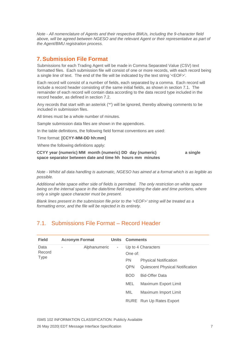*Note - All nomenclature of Agents and their respective BMUs, including the 9-character field above, will be agreed between NGESO and the relevant Agent or their representative as part of the Agent/BMU registration process.* 

#### <span id="page-9-0"></span>**7. Submission File Format**

Submissions for each Trading Agent will be made in Comma Separated Value (CSV) text formatted files. Each submission file will consist of one or more records, with each record being a single line of text. The end of the file will be indicated by the text string '<EOF>'.

Each record will consist of a number of fields, each separated by a comma. Each record will include a record header consisting of the same initial fields, as shown in section 7.1. The remainder of each record will contain data according to the data record type included in the record header, as defined in section 7.2.

Any records that start with an asterisk ('\*') will be ignored, thereby allowing comments to be included in submission files.

All times must be a whole number of minutes.

Sample submission data files are shown in the appendices.

In the table definitions, the following field format conventions are used:

Time format: **[CCYY-MM-DD hh:mm]** 

Where the following definitions apply:

**CCYY year (numeric) MM month (numeric) DD day (numeric) a single space separator between date and time hh hours mm minutes** 

*Note - Whilst all data handling is automatic, NGESO has aimed at a format which is as legible as possible.* 

*Additional white space either side of fields is permitted. The only restriction on white space being on the internal space in the date/time field separating the date and time portions, where only a single space character must be present.* 

*Blank lines present in the submission file prior to the '<EOF>' string will be treated as a formatting error, and the file will be rejected in its entirety.* 

## <span id="page-9-1"></span>7.1. Submissions File Format – Record Header

| <b>Field</b>   | <b>Acronym Format</b> |              |        | <b>Units Comments</b><br>Up to 4 Characters<br>One of:<br><b>PN</b><br><b>Physical Notification</b><br>QPN<br><b>Quiescent Physical Notification</b><br><b>Bid-Offer Data</b><br><b>BOD</b> |                          |  |  |  |  |
|----------------|-----------------------|--------------|--------|---------------------------------------------------------------------------------------------------------------------------------------------------------------------------------------------|--------------------------|--|--|--|--|
| Data<br>Record | ٠                     | Alphanumeric | $\sim$ |                                                                                                                                                                                             |                          |  |  |  |  |
| <b>Type</b>    |                       |              |        |                                                                                                                                                                                             |                          |  |  |  |  |
|                |                       |              |        |                                                                                                                                                                                             |                          |  |  |  |  |
|                |                       |              |        |                                                                                                                                                                                             |                          |  |  |  |  |
|                |                       |              |        | MEL                                                                                                                                                                                         | Maximum Export Limit     |  |  |  |  |
|                |                       |              |        | MIL                                                                                                                                                                                         | Maximum Import Limit     |  |  |  |  |
|                |                       |              |        |                                                                                                                                                                                             | RURE Run Up Rates Export |  |  |  |  |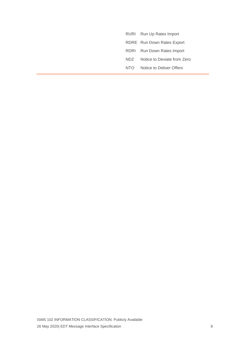- RURI Run Up Rates Import
- RDRE Run Down Rates Export
- RDRI Run Down Rates Import
- NDZ Notice to Deviate from Zero
- NTO Notice to Deliver Offers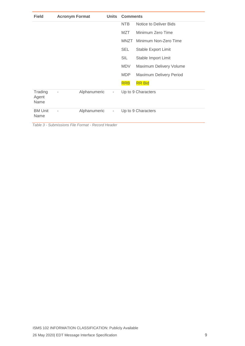| <b>Field</b>             | <b>Acronym Format</b> |                                                   | <b>Units</b>             | <b>Comments</b><br><b>NTB</b><br>Notice to Deliver Bids<br>MZT<br>Minimum Zero Time |                         |  |  |  |  |  |  |  |  |
|--------------------------|-----------------------|---------------------------------------------------|--------------------------|-------------------------------------------------------------------------------------|-------------------------|--|--|--|--|--|--|--|--|
|                          |                       |                                                   |                          |                                                                                     |                         |  |  |  |  |  |  |  |  |
|                          |                       |                                                   |                          |                                                                                     |                         |  |  |  |  |  |  |  |  |
|                          |                       |                                                   |                          | MNZT                                                                                | Minimum Non-Zero Time   |  |  |  |  |  |  |  |  |
|                          |                       |                                                   |                          | <b>SEL</b>                                                                          | Stable Export Limit     |  |  |  |  |  |  |  |  |
|                          |                       |                                                   |                          | SIL                                                                                 | Stable Import Limit     |  |  |  |  |  |  |  |  |
|                          |                       |                                                   |                          | MDV                                                                                 | Maximum Delivery Volume |  |  |  |  |  |  |  |  |
|                          |                       |                                                   |                          | <b>MDP</b>                                                                          | Maximum Delivery Period |  |  |  |  |  |  |  |  |
|                          |                       |                                                   |                          | <b>RRB</b>                                                                          | <b>RR Bid</b>           |  |  |  |  |  |  |  |  |
| Trading<br>Agent<br>Name | -                     | Alphanumeric                                      | ٠                        |                                                                                     | Up to 9 Characters      |  |  |  |  |  |  |  |  |
| <b>BM Unit</b><br>Name   | $\overline{a}$        | Alphanumeric                                      | $\overline{\phantom{a}}$ |                                                                                     | Up to 9 Characters      |  |  |  |  |  |  |  |  |
|                          |                       | Table 3 - Submissions File Format - Record Header |                          |                                                                                     |                         |  |  |  |  |  |  |  |  |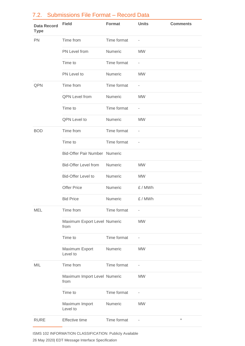| <b>Data Record</b><br><b>Type</b> | <b>Field</b>                         | <b>Format</b> | <b>Units</b>             | <b>Comments</b> |
|-----------------------------------|--------------------------------------|---------------|--------------------------|-----------------|
| <b>PN</b>                         | Time from                            | Time format   | $\overline{\phantom{a}}$ |                 |
|                                   | PN Level from                        | Numeric       | <b>MW</b>                |                 |
|                                   | Time to                              | Time format   | $\overline{\phantom{a}}$ |                 |
|                                   | PN Level to                          | Numeric       | <b>MW</b>                |                 |
| QPN                               | Time from                            | Time format   | $\bar{ }$                |                 |
|                                   | <b>QPN</b> Level from                | Numeric       | <b>MW</b>                |                 |
|                                   | Time to                              | Time format   | $\overline{\phantom{m}}$ |                 |
|                                   | QPN Level to                         | Numeric       | <b>MW</b>                |                 |
| <b>BOD</b>                        | Time from                            | Time format   | $\overline{\phantom{a}}$ |                 |
|                                   | Time to                              | Time format   | $\bar{ }$                |                 |
|                                   | Bid-Offer Pair Number Numeric        |               |                          |                 |
|                                   | <b>Bid-Offer Level from</b>          | Numeric       | <b>MW</b>                |                 |
|                                   | <b>Bid-Offer Level to</b>            | Numeric       | <b>MW</b>                |                 |
|                                   | <b>Offer Price</b>                   | Numeric       | £/MWh                    |                 |
|                                   | <b>Bid Price</b>                     | Numeric       | £/MWh                    |                 |
| MEL                               | Time from                            | Time format   | $\bar{ }$                |                 |
|                                   | Maximum Export Level Numeric<br>from |               | <b>MW</b>                |                 |
|                                   | Time to                              | Time format   | ÷,                       |                 |
|                                   | Maximum Export<br>Level to           | Numeric       | <b>MW</b>                |                 |
| MIL                               | Time from                            | Time format   | ÷,                       |                 |
|                                   | Maximum Import Level Numeric<br>from |               | <b>MW</b>                |                 |
|                                   | Time to                              | Time format   | ÷,                       |                 |
|                                   | Maximum Import<br>Level to           | Numeric       | <b>MW</b>                |                 |
| <b>RURE</b>                       | Effective time                       | Time format   |                          | $\star$         |

## <span id="page-12-0"></span>7.2. Submissions File Format – Record Data

ISMS 102 INFORMATION CLASSIFICATION: Publicly Available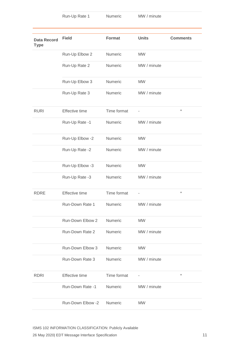Run-Up Rate 1 Numeric MW / minute

| <b>Data Record</b><br><b>Type</b> | <b>Field</b>          | <b>Format</b>  | <b>Units</b> | <b>Comments</b> |
|-----------------------------------|-----------------------|----------------|--------------|-----------------|
|                                   | Run-Up Elbow 2        | Numeric        | <b>MW</b>    |                 |
|                                   | Run-Up Rate 2         | Numeric        | MW / minute  |                 |
|                                   | Run-Up Elbow 3        | Numeric        | <b>MW</b>    |                 |
|                                   | Run-Up Rate 3         | Numeric        | MW / minute  |                 |
| <b>RURI</b>                       | <b>Effective time</b> | Time format    |              | $\star$         |
|                                   | Run-Up Rate -1        | Numeric        | MW / minute  |                 |
|                                   | Run-Up Elbow -2       | Numeric        | <b>MW</b>    |                 |
|                                   | Run-Up Rate -2        | Numeric        | MW / minute  |                 |
|                                   | Run-Up Elbow -3       | Numeric        | <b>MW</b>    |                 |
|                                   | Run-Up Rate -3        | Numeric        | MW / minute  |                 |
| <b>RDRE</b>                       | Effective time        | Time format    | $\bar{ }$    | $^\star$        |
|                                   | Run-Down Rate 1       | Numeric        | MW / minute  |                 |
|                                   | Run-Down Elbow 2      | Numeric        | <b>MW</b>    |                 |
|                                   | Run-Down Rate 2       | Numeric        | MW / minute  |                 |
|                                   | Run-Down Elbow 3      | Numeric        | <b>MW</b>    |                 |
|                                   | Run-Down Rate 3       | <b>Numeric</b> | MW / minute  |                 |
| <b>RDRI</b>                       | Effective time        | Time format    |              | $\star$         |
|                                   | Run-Down Rate -1      | Numeric        | MW / minute  |                 |
|                                   | Run-Down Elbow -2     | Numeric        | <b>MW</b>    |                 |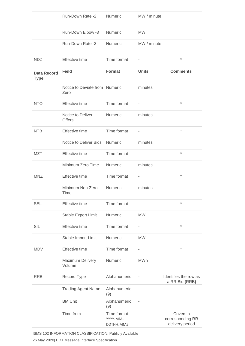|                                   | Run-Down Rate -2                       | Numeric                              | MW / minute              |                                                 |
|-----------------------------------|----------------------------------------|--------------------------------------|--------------------------|-------------------------------------------------|
|                                   | Run-Down Elbow -3                      | Numeric                              | <b>MW</b>                |                                                 |
|                                   | Run-Down Rate -3                       | Numeric                              | MW / minute              |                                                 |
| <b>NDZ</b>                        | <b>Effective time</b>                  | Time format                          |                          | $^\star$                                        |
| <b>Data Record</b><br><b>Type</b> | <b>Field</b>                           | <b>Format</b>                        | <b>Units</b>             | <b>Comments</b>                                 |
|                                   | Notice to Deviate from Numeric<br>Zero |                                      | minutes                  |                                                 |
| <b>NTO</b>                        | Effective time                         | Time format                          |                          | $\star$                                         |
|                                   | Notice to Deliver<br><b>Offers</b>     | Numeric                              | minutes                  |                                                 |
| <b>NTB</b>                        | <b>Effective time</b>                  | Time format                          | ÷,                       | $\star$                                         |
|                                   | Notice to Deliver Bids                 | Numeric                              | minutes                  |                                                 |
| MZT                               | <b>Effective time</b>                  | Time format                          | ÷,                       | $^\star$                                        |
|                                   | Minimum Zero Time                      | Numeric                              | minutes                  |                                                 |
| <b>MNZT</b>                       | Effective time                         | Time format                          |                          | $\star$                                         |
|                                   | Minimum Non-Zero<br>Time               | Numeric                              | minutes                  |                                                 |
| <b>SEL</b>                        | <b>Effective time</b>                  | Time format                          |                          | $^\star$                                        |
|                                   | Stable Export Limit                    | Numeric                              | <b>MW</b>                |                                                 |
| <b>SIL</b>                        | <b>Effective time</b>                  | Time format                          | $\overline{\phantom{0}}$ | $\star$                                         |
|                                   | Stable Import Limit                    | Numeric                              | <b>MW</b>                |                                                 |
| <b>MDV</b>                        | Effective time                         | Time format                          |                          | $\star$                                         |
|                                   | Maximum Delivery<br>Volume             | Numeric                              | <b>MWh</b>               |                                                 |
| <b>RRB</b>                        | Record Type                            | Alphanumeric                         |                          | Identifies the row as<br>a RR Bid {RRB}         |
|                                   | <b>Trading Agent Name</b>              | Alphanumeric<br>(9)                  |                          |                                                 |
|                                   | <b>BM Unit</b>                         | Alphanumeric<br>(9)                  |                          |                                                 |
|                                   | Time from                              | Time format<br>YYYY-MM-<br>DDTHH:MMZ |                          | Covers a<br>corresponding RR<br>delivery period |

ISMS 102 INFORMATION CLASSIFICATION: Publicly Available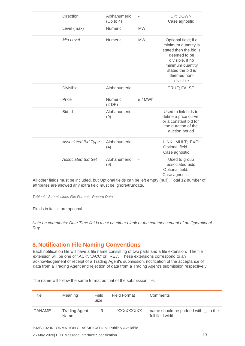| <b>Direction</b>           | Alphanumeric<br>(Up to 4) |           | UP; DOWN<br>Case agnostic                                                                                                                                                      |
|----------------------------|---------------------------|-----------|--------------------------------------------------------------------------------------------------------------------------------------------------------------------------------|
| Level (max)                | Numeric                   | <b>MW</b> |                                                                                                                                                                                |
| Min Level                  | <b>Numeric</b>            | <b>MW</b> | Optional field; if a<br>minimum quantity is<br>stated then the bid is<br>deemed to be<br>divisible, if no<br>minimum quantity<br>stated the bid is<br>deemed non-<br>divisible |
| <b>Divisible</b>           | Alphanumeric              |           | TRUE; FALSE                                                                                                                                                                    |
| Price                      | <b>Numeric</b><br>(2DP)   | £/MWh     |                                                                                                                                                                                |
| Bid Id                     | Alphanumeric<br>(9)       |           | Used to link bids to<br>define a price curve;<br>or a constant bid for<br>the duration of the<br>auction period                                                                |
| <b>Associated Bid Type</b> | Alphanumeric<br>(4)       |           | LINK; MULT; EXCL<br>Optional field.<br>Case agnostic                                                                                                                           |
| <b>Associated Bid Set</b>  | Alphanumeric<br>(9)       |           | Used to group<br>associated bids<br>Optional field.<br>Case agnostic                                                                                                           |

All other fields must be included, but Optional fields can be left empty (null). Total 12 number of attributes are allowed any extra field must be ignore/truncate.

*Table 4 - Submissions File Format - Record Data* 

Fields in italics are optional

*Note on comments: Date Time fields must be either blank or the commencement of an Operational Day.* 

#### <span id="page-15-0"></span>**8. Notification File Naming Conventions**

Each notification file will have a file name consisting of two parts and a file extension. The file extension will be one of '.ACK', '.ACC' or '.REJ'. These extensions correspond to an acknowledgement of receipt of a Trading Agent's submission, notification of the acceptance of data from a Trading Agent and rejection of data from a Trading Agent's submission respectively.

The name will follow the same format as that of the submission file:

| Title  | Meaning                      | Field<br><b>Size</b> | Field Format | Comments                                                  |
|--------|------------------------------|----------------------|--------------|-----------------------------------------------------------|
| TANAME | <b>Trading Agent</b><br>Name | 9                    | XXXXXXXXX    | name should be padded with ' ' to the<br>full field width |

ISMS 102 INFORMATION CLASSIFICATION: Publicly Available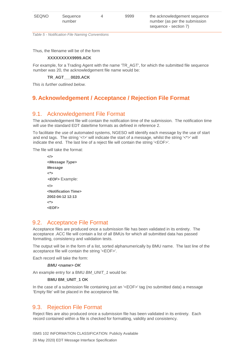*Table 5 - Notification File Naming Conventions* 

Thus, the filename will be of the form

#### **XXXXXXXXX9999.ACK**

For example, for a Trading Agent with the name 'TR\_AGT', for which the submitted file sequence number was 20, the acknowledgement file name would be:

**TR\_AGT\_\_\_0020.ACK** 

*This is further outlined below.* 

# <span id="page-16-0"></span>**9. Acknowledgement / Acceptance / Rejection File Format**

#### <span id="page-16-1"></span>9.1. Acknowledgement File Format

The acknowledgement file will contain the notification time of the submission. The notification time will use the standard EDT date/time formats as defined in reference 2.

To facilitate the use of automated systems, NGESO will identify each message by the use of start and end tags. The string '<!>' will indicate the start of a message, whilst the string '<\*>' will indicate the end. The last line of a reject file will contain the string '<EOF>'.

The file will take the format:

```
<!> 
<Message Type> 
Message 
<*> 
<EOF> Example: 
<!> 
<Notification Time> 
2002-04-12 12:13 
<*> 
<EOF>
```
#### <span id="page-16-2"></span>9.2. Acceptance File Format

Acceptance files are produced once a submission file has been validated in its entirety. The acceptance .ACC file will contain a list of all BMUs for which all submitted data has passed formatting, consistency and validation tests.

The output will be in the form of a list, sorted alphanumerically by BMU name. The last line of the acceptance file will contain the string '<EOF>'.

Each record will take the form:

**BMU <name> OK** 

An example entry for a BMU *BM\_UNIT\_1* would be:

#### **BMU BM\_UNIT\_1 OK**

In the case of a submission file containing just an '<EOF>' tag (no submitted data) a message 'Empty file' will be placed in the acceptance file.

#### <span id="page-16-3"></span>9.3. Rejection File Format

Reject files are also produced once a submission file has been validated in its entirety. Each record contained within a file is checked for formatting, validity and consistency.

ISMS 102 INFORMATION CLASSIFICATION: Publicly Available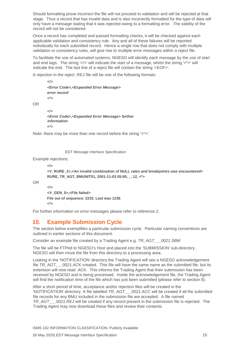Should formatting prove incorrect the file will not proceed to validation and will be rejected at that stage. Thus a record that has invalid data and is also incorrectly formatted for the type of data will only have a message stating that it was rejected owing to a formatting error. The validity of the record will not be considered.

Once a record has completed and passed formatting checks, it will be checked against each applicable validation and consistency rule. Any and all of these failures will be reported individually for each submitted record. Hence a single row that does not comply with multiple validation or consistency rules, will give rise to multiple error messages within a reject file.

To facilitate the use of automated systems, NGESO will identify each message by the use of start and end tags. The string '<!>' will indicate the start of a message, whilst the string '<\*>' will indicate the end. The last line of a reject file will contain the string '<EOF>'.

A rejection in the reject .REJ file will be one of the following formats:

```
<!> 
<Error Code>,<Expanded Error Message> 
error record 
<*>
```
*<!>*  **<***Error Code***>,<***Expanded Error Message***>** *further information*  **<\*>**

Note: there may be more than one record before the string '<\*>'.

EDT Message Interface Specification

Example rejections:

**<!>** 

```
<V_RURE_2>,<An invalid combination of NULL rates and breakpoints was encountered> 
RURE, TR_AGT, BMUNIT01, 2001-11-03 05:00, , , 12, <*>
```
OR

OR

```
<!> 
<V_GEN_5>,<File failed> 
File out of sequence: 2233. Last was 1236 
<*>
```
For further information on error messages please refer to reference 2.

## <span id="page-17-0"></span>**10. Example Submission Cycle**

The section below exemplifies a particular submission cycle. Particular naming conventions are outlined in earlier sections of this document.

Consider an example file created by a Trading Agent e.g. *TR\_AGT\_\_\_0021.SBM* 

The file will be FTPed to NGESO's Host and placed into the 'SUBMISSION' sub-directory. NGESO will then move the file from this directory to a processing area.

Looking in the 'NOTIFICATION' directory the Trading Agent will see a NGESO acknowledgement file *TR\_AGT\_\_\_0021.ACK* created. This file will have the same name as the submitted file, but its extension will now read .ACK. This informs the Trading Agent that their submission has been received by NGESO and is being processed. Inside the acknowledgement file, the Trading Agent will find the notification time of the file which has just been submitted (please refer to section 8).

After a short period of time, acceptance and/or rejection files will be created in the 'NOTIFICATION' directory. A file labelled *TR\_AGT\_\_\_0021.ACC* will be created if all the submitted file records for any BMU included in the submission file are accepted. A file named *TR\_AGT\_\_\_0021.REJ* will be created if any record present in the submission file is rejected. The Trading Agent may now download these files and review their contents.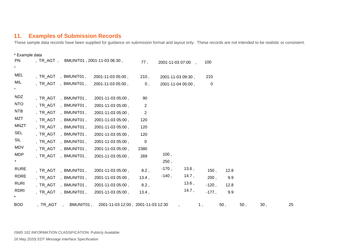## **11. Examples of Submission Records**

These sample data records have been supplied for guidance on submission format and layout only. These records are not intended to be realistic or consistent.

<span id="page-18-0"></span>

| * Example data         |           |                      |                                    |                |                   |       |             |      |     |     |    |
|------------------------|-----------|----------------------|------------------------------------|----------------|-------------------|-------|-------------|------|-----|-----|----|
| <b>PN</b>              | , TR_AGT, |                      | BMUNIT01, 2001-11-03 06:30,        | 77,            | 2001-11-03 07:00, |       | 100         |      |     |     |    |
| <b>MEL</b>             |           | , TR_AGT , BMUNIT01, | 2001-11-03 05:00,                  | 210,           | 2001-11-03 09:30, |       | 210         |      |     |     |    |
| MIL<br>$\star$         |           | , TR_AGT, BMUNIT01,  | 2001-11-03 05:00,                  | 0,             | 2001-11-04 05:00, |       | $\mathbf 0$ |      |     |     |    |
| <b>NDZ</b>             |           | , TR_AGT, BMUNIT01,  | 2001-11-03 05:00,                  | 90             |                   |       |             |      |     |     |    |
| <b>NTO</b>             |           | , TR_AGT, BMUNIT01,  | 2001-11-03 05:00,                  | $\overline{2}$ |                   |       |             |      |     |     |    |
| <b>NTB</b>             |           | , TR_AGT, BMUNIT01,  | 2001-11-03 05:00,                  | 2              |                   |       |             |      |     |     |    |
| MZT                    |           | , TR_AGT, BMUNIT01,  | 2001-11-03 05:00,                  | 120            |                   |       |             |      |     |     |    |
| <b>MNZT</b>            |           | , TR_AGT, BMUNIT01,  | 2001-11-03 05:00,                  | 120            |                   |       |             |      |     |     |    |
| SEL                    |           | , TR_AGT, BMUNIT01,  | 2001-11-03 05:00,                  | 120            |                   |       |             |      |     |     |    |
| SIL                    |           | , TR_AGT, BMUNIT01,  | 2001-11-03 05:00,                  | $\mathbf 0$    |                   |       |             |      |     |     |    |
| MDV                    |           | , TR_AGT, BMUNIT01,  | 2001-11-03 05:00,                  | 2380           |                   |       |             |      |     |     |    |
| <b>MDP</b>             |           | TR AGT, BMUNIT01,    | 2001-11-03 05:00,                  | 269            | 100,              |       |             |      |     |     |    |
| $\star$                |           |                      |                                    |                | 250,              |       |             |      |     |     |    |
| <b>RURE</b>            | ,TR_AGT   | ,BMUNIT01,           | 2001-11-03 05:00,                  | 8.2,           | $-170$ ,          | 13.6, | 150,        | 12.8 |     |     |    |
| <b>RDRE</b>            |           | , TR_AGT, BMUNIT01,  | 2001-11-03 05:00,                  | 13.4,          | $-140,$           | 14.7, | 200.        | 9.9  |     |     |    |
| <b>RURI</b>            |           | , TR AGT, BMUNIT01,  | 2001-11-03 05:00,                  | $8.2$ ,        |                   | 13.6, | $-120,$     | 12.8 |     |     |    |
| <b>RDRI</b><br>$\star$ |           | , TR_AGT, BMUNIT01,  | 2001-11-03 05:00,                  | 13.4,          |                   | 14.7, | $-177$ ,    | 9.9  |     |     |    |
| <b>BOD</b>             | ,TR_AGT   | BMUNIT01,            | 2001-11-03 12:00, 2001-11-03 12:30 |                |                   |       | 1,          | 50,  | 50, | 30, | 25 |

ISMS 102 INFORMATION CLASSIFICATION: Publicly Available 26 May 2020| EDT Message Interface Specification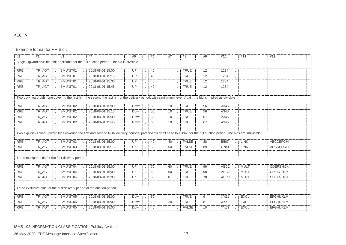#### <EOF>

Example format for RR Bid :

| #1         | #2     | #3                                                 | #4                                                                                                                                                                             | #5   | #6  | #7           | #8           | #9 | #10              | #11         | #12              |  |
|------------|--------|----------------------------------------------------|--------------------------------------------------------------------------------------------------------------------------------------------------------------------------------|------|-----|--------------|--------------|----|------------------|-------------|------------------|--|
|            |        |                                                    | Single Upward divisible bid; applicable for the full auction period. The bid is divisible.                                                                                     |      |     |              |              |    |                  |             |                  |  |
| <b>RRB</b> | TR_AGT | BMUNIT01                                           | 2018-08-01 15:00                                                                                                                                                               | UP   | 40  |              | <b>TRUE</b>  | 12 | 1234             |             |                  |  |
| <b>RRB</b> | TR AGT | <b>BMUNIT01</b>                                    | 2018-08-01 15:15                                                                                                                                                               | UP   | 40  |              | <b>TRUE</b>  | 12 | 1234             |             |                  |  |
| <b>RRB</b> | TR AGT | <b>BMUNIT01</b>                                    | 2018-08-01 15:30                                                                                                                                                               | UP   | 40  |              | <b>TRUE</b>  | 12 | 1234             |             |                  |  |
| <b>RRB</b> | TR AGT | BMUNIT01                                           | 2018-08-01 15:45                                                                                                                                                               | UP   | 40  |              | <b>TRUE</b>  | 12 | 1234             |             |                  |  |
|            |        |                                                    |                                                                                                                                                                                |      |     |              |              |    |                  |             |                  |  |
|            |        |                                                    | Two downward bids, one covering the first hhr, the second the last hhr of the delivery period, with a minimum level. Again the bid is implied as divisible                     |      |     |              |              |    |                  |             |                  |  |
| <b>RRB</b> | TR_AGT | BMUNIT02                                           | 2018-08-01 15:00                                                                                                                                                               | Down | 50  | 10           | <b>TRUE</b>  | 56 | A345             |             |                  |  |
| <b>RRB</b> | TR AGT | BMUNIT02                                           | 2018-08-01 15:15                                                                                                                                                               | Down | 50  | 10           | <b>TRUE</b>  | 56 | A345             |             |                  |  |
| <b>RRB</b> | TR AGT | BMUNIT02                                           | 2018-08-01 15:30                                                                                                                                                               | Down | 60  | 10           | <b>TRUE</b>  | 67 | A345             |             |                  |  |
| <b>RRB</b> | TR_AGT | BMUNIT02                                           | 2018-08-01 15:45                                                                                                                                                               | Down | 60  | 10           | <b>TRUE</b>  | 67 | A345             |             |                  |  |
|            |        |                                                    |                                                                                                                                                                                |      |     |              |              |    |                  |             |                  |  |
|            |        |                                                    | Two explicitly linked upward bids covering the first and second QHR delivery periods; participants don't need to submit for the full auction period. The bids are indivisible. |      |     |              |              |    |                  |             |                  |  |
| <b>RRB</b> | TR_AGT | BMUNIT03                                           | 2018-08-01 15:00                                                                                                                                                               | UP   | 40  | 40           | <b>FALSE</b> | 88 | <b>B567</b>      | <b>LINK</b> | <b>ABCDEFGHI</b> |  |
| <b>RRB</b> | TR AGT | BMUNIT03                                           | 2018-08-01 15:15                                                                                                                                                               | Up   | 50  | 50           | <b>FALSE</b> | 89 | C789             | <b>LINK</b> | <b>ABCDEFGHI</b> |  |
|            |        |                                                    |                                                                                                                                                                                |      |     |              |              |    |                  |             |                  |  |
|            |        | Three multipart bids for the first delivery period |                                                                                                                                                                                |      |     |              |              |    |                  |             |                  |  |
| <b>RRB</b> | TR_AGT | BMUNIT04                                           | 2018-08-01 15:00                                                                                                                                                               | UP   | 70  | 60           | <b>TRUE</b>  | 99 | ABC1             | <b>MULT</b> | <b>CDEFGHIJK</b> |  |
| <b>RRB</b> | TR AGT | BMUNIT04                                           | 2018-08-01 15:00                                                                                                                                                               | Up   | 60  | 50           | <b>TRUE</b>  | 98 | ABC <sub>2</sub> | <b>MULT</b> | <b>CDEFGHIJK</b> |  |
| <b>RRB</b> | TR AGT | BMUNIT04                                           | 2018-08-01 15:00                                                                                                                                                               | Up   | 50  | $\mathbf{0}$ | <b>TRUE</b>  | 78 | ABC <sub>3</sub> | <b>MULT</b> | <b>CDEFGHIJK</b> |  |
|            |        |                                                    |                                                                                                                                                                                |      |     |              |              |    |                  |             |                  |  |
|            |        |                                                    | Three exclusive bids for the first delivery period of the auction period                                                                                                       |      |     |              |              |    |                  |             |                  |  |
| <b>RRB</b> | TR AGT | BMUNIT05                                           | 2018-08-01 15:00                                                                                                                                                               | Down | 50  |              | <b>TRUE</b>  | 9  | XYZ1             | <b>EXCL</b> | <b>EFGHIJKLM</b> |  |
| <b>RRB</b> | TR AGT | BMUNIT05                                           | 2018-08-01 15:00                                                                                                                                                               | Down | 100 | 20           | <b>TRUE</b>  | 8  | XYZ <sub>2</sub> | <b>EXCL</b> | <b>EFGHIJKLM</b> |  |
| <b>RRB</b> | TR AGT | BMUNIT05                                           | 2018-08-01 15:00                                                                                                                                                               | Down | 40  |              | <b>FALSE</b> | 10 | XYZ3             | <b>EXCL</b> | <b>EFGHIJKLM</b> |  |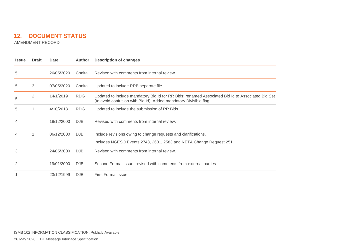# **12. DOCUMENT STATUS**

AMENDMENT RECORD

<span id="page-20-0"></span>

| <b>Issue</b>   | <b>Draft</b> | Date       | <b>Author</b> | Description of changes                                                                                                                                               |
|----------------|--------------|------------|---------------|----------------------------------------------------------------------------------------------------------------------------------------------------------------------|
| 5              |              | 26/05/2020 | Chaitali      | Revised with comments from internal review                                                                                                                           |
| 5              | 3            | 07/05/2020 | Chaitali      | Updated to include RRB separate file                                                                                                                                 |
| 5              | 2            | 14/1/2019  | <b>RDG</b>    | Updated to include mandatory Bid Id for RR Bids; renamed Associated Bid Id to Associated Bid Set<br>(to avoid confusion with Bid Id); Added mandatory Divisible flag |
| 5              |              | 4/10/2018  | <b>RDG</b>    | Updated to include the submission of RR Bids                                                                                                                         |
| 4              |              | 18/12/2000 | <b>DJB</b>    | Revised with comments from internal review.                                                                                                                          |
|                |              | 06/12/2000 | DJB           | Include revisions owing to change requests and clarifications.                                                                                                       |
|                |              |            |               | Includes NGESO Events 2743, 2601, 2583 and NETA Change Request 251.                                                                                                  |
| 3              |              | 24/05/2000 | DJB           | Revised with comments from internal review.                                                                                                                          |
| $\overline{2}$ |              | 19/01/2000 | DJB           | Second Formal Issue, revised with comments from external parties.                                                                                                    |
|                |              | 23/12/1999 | <b>DJB</b>    | First Formal Issue.                                                                                                                                                  |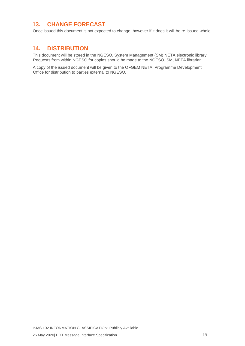## <span id="page-21-0"></span>**13. CHANGE FORECAST**

Once issued this document is not expected to change, however if it does it will be re-issued whole

#### <span id="page-21-1"></span>**14. DISTRIBUTION**

This document will be stored in the NGESO, System Management (SM) NETA electronic library. Requests from within NGESO for copies should be made to the NGESO, SM, NETA librarian.

A copy of the issued document will be given to the OFGEM NETA, Programme Development Office for distribution to parties external to NGESO.